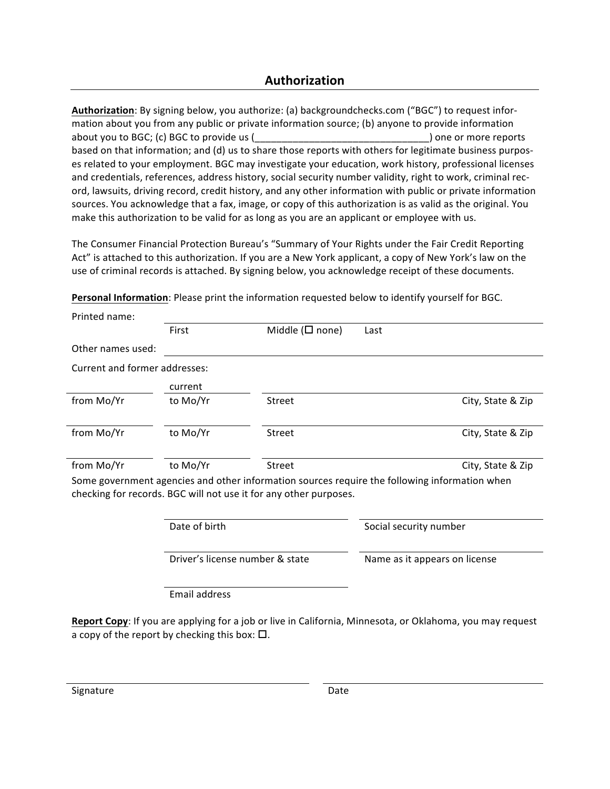## **Authorization**

Authorization: By signing below, you authorize: (a) backgroundchecks.com ("BGC") to request information about you from any public or private information source; (b) anyone to provide information about you to BGC; (c) BGC to provide us (\_\_\_\_\_\_\_\_\_\_\_\_\_\_\_\_\_\_\_\_\_\_\_\_\_\_\_\_\_\_\_\_) one or more reports based on that information; and (d) us to share those reports with others for legitimate business purposes related to your employment. BGC may investigate your education, work history, professional licenses and credentials, references, address history, social security number validity, right to work, criminal record, lawsuits, driving record, credit history, and any other information with public or private information sources. You acknowledge that a fax, image, or copy of this authorization is as valid as the original. You make this authorization to be valid for as long as you are an applicant or employee with us.

The Consumer Financial Protection Bureau's "Summary of Your Rights under the Fair Credit Reporting Act" is attached to this authorization. If you are a New York applicant, a copy of New York's law on the use of criminal records is attached. By signing below, you acknowledge receipt of these documents.

**Personal Information**: Please print the information requested below to identify yourself for BGC.

| Printed name:                                                                                 |                                                                   |                          |      |                   |
|-----------------------------------------------------------------------------------------------|-------------------------------------------------------------------|--------------------------|------|-------------------|
|                                                                                               | First                                                             | Middle ( $\square$ none) | Last |                   |
| Other names used:                                                                             |                                                                   |                          |      |                   |
| Current and former addresses:                                                                 |                                                                   |                          |      |                   |
|                                                                                               | current                                                           |                          |      |                   |
| from Mo/Yr                                                                                    | to Mo/Yr                                                          | Street                   |      | City, State & Zip |
|                                                                                               |                                                                   |                          |      |                   |
| from Mo/Yr                                                                                    | to Mo/Yr                                                          | Street                   |      | City, State & Zip |
|                                                                                               |                                                                   |                          |      |                   |
| from Mo/Yr                                                                                    | to Mo/Yr                                                          | Street                   |      | City, State & Zip |
| Some government agencies and other information sources require the following information when |                                                                   |                          |      |                   |
|                                                                                               | checking for records. BGC will not use it for any other purposes. |                          |      |                   |
|                                                                                               |                                                                   |                          |      |                   |
| Date of birth                                                                                 |                                                                   | Social security number   |      |                   |
|                                                                                               |                                                                   |                          |      |                   |

Driver's license number & state Name as it appears on license

Email address

**Report Copy**: If you are applying for a job or live in California, Minnesota, or Oklahoma, you may request a copy of the report by checking this box:  $\square$ .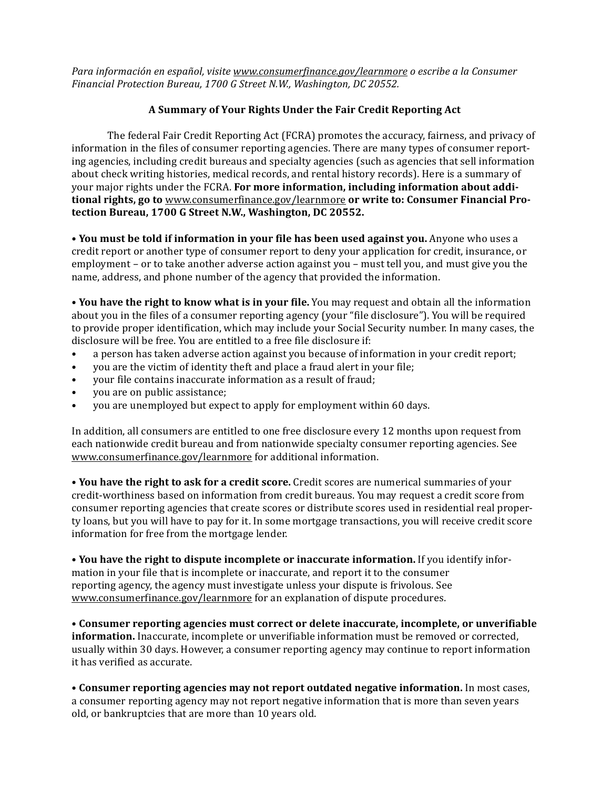*Para información en español, visite www.consumerfinance.gov/learnmore o escribe a la Consumer Financial Protection Bureau, 1700 G Street N.W., Washington, DC 20552.*

## **A Summary of Your Rights Under the Fair Credit Reporting Act**

The federal Fair Credit Reporting Act (FCRA) promotes the accuracy, fairness, and privacy of information in the files of consumer reporting agencies. There are many types of consumer reporting agencies, including credit bureaus and specialty agencies (such as agencies that sell information about check writing histories, medical records, and rental history records). Here is a summary of your major rights under the FCRA. For more information, including information about addi**tional rights, go to** www.consumerfinance.gov/learnmore **or write to: Consumer Financial Pro**tection Bureau, 1700 G Street N.W., Washington, DC 20552.

• You must be told if information in your file has been used against you. Anyone who uses a credit report or another type of consumer report to deny your application for credit, insurance, or employment – or to take another adverse action against you – must tell you, and must give you the name, address, and phone number of the agency that provided the information.

• You have the right to know what is in your file. You may request and obtain all the information about you in the files of a consumer reporting agency (your "file disclosure"). You will be required to provide proper identification, which may include your Social Security number. In many cases, the disclosure will be free. You are entitled to a free file disclosure if:

- a person has taken adverse action against you because of information in your credit report;
- you are the victim of identity theft and place a fraud alert in your file;
- your file contains inaccurate information as a result of fraud;
- you are on public assistance;
- you are unemployed but expect to apply for employment within 60 days.

In addition, all consumers are entitled to one free disclosure every 12 months upon request from each nationwide credit bureau and from nationwide specialty consumer reporting agencies. See www.consumerfinance.gov/learnmore for additional information.

• You have the right to ask for a credit score. Credit scores are numerical summaries of your credit-worthiness based on information from credit bureaus. You may request a credit score from consumer reporting agencies that create scores or distribute scores used in residential real property loans, but you will have to pay for it. In some mortgage transactions, you will receive credit score information for free from the mortgage lender.

• You have the right to dispute incomplete or inaccurate information. If you identify information in your file that is incomplete or inaccurate, and report it to the consumer reporting agency, the agency must investigate unless your dispute is frivolous. See www.consumerfinance.gov/learnmore for an explanation of dispute procedures.

• Consumer reporting agencies must correct or delete inaccurate, incomplete, or unverifiable information. Inaccurate, incomplete or unverifiable information must be removed or corrected, usually within 30 days. However, a consumer reporting agency may continue to report information it has verified as accurate.

• Consumer reporting agencies may not report outdated negative information. In most cases, a consumer reporting agency may not report negative information that is more than seven years old, or bankruptcies that are more than 10 years old.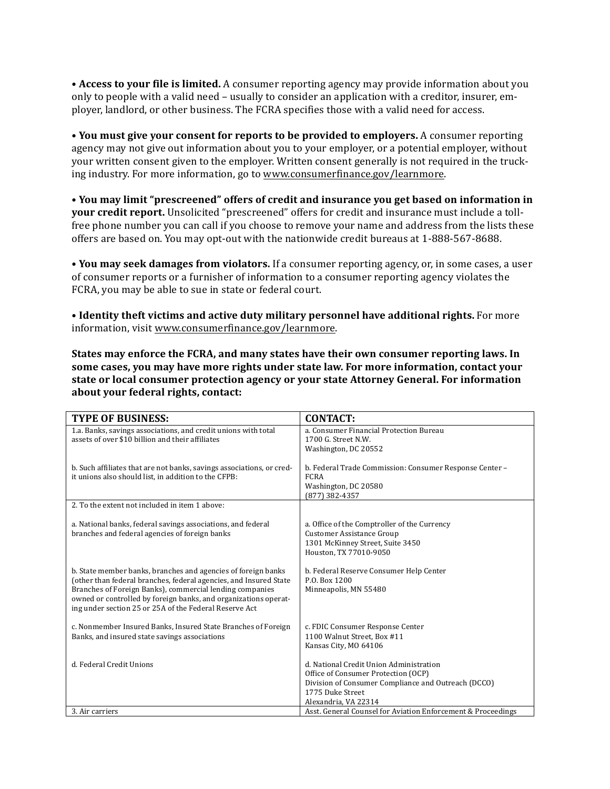• **Access to your file is limited.** A consumer reporting agency may provide information about you only to people with a valid need – usually to consider an application with a creditor, insurer, employer, landlord, or other business. The FCRA specifies those with a valid need for access.

• You must give your consent for reports to be provided to employers. A consumer reporting agency may not give out information about you to your employer, or a potential employer, without your written consent given to the employer. Written consent generally is not required in the trucking industry. For more information, go to www.consumerfinance.gov/learnmore.

• You may limit "prescreened" offers of credit and insurance you get based on information in **your credit report.** Unsolicited "prescreened" offers for credit and insurance must include a tollfree phone number you can call if you choose to remove your name and address from the lists these offers are based on. You may opt-out with the nationwide credit bureaus at 1-888-567-8688.

• **You may seek damages from violators.** If a consumer reporting agency, or, in some cases, a user of consumer reports or a furnisher of information to a consumer reporting agency violates the FCRA, you may be able to sue in state or federal court.

• **Identity theft victims and active duty military personnel have additional rights.** For more information, visit www.consumerfinance.gov/learnmore.

States may enforce the FCRA, and many states have their own consumer reporting laws. In some cases, you may have more rights under state law. For more information, contact your **state or local consumer protection agency or your state Attorney General. For information** about your federal rights, contact:

| <b>TYPE OF BUSINESS:</b>                                              | <b>CONTACT:</b>                                              |
|-----------------------------------------------------------------------|--------------------------------------------------------------|
| 1.a. Banks, savings associations, and credit unions with total        | a. Consumer Financial Protection Bureau                      |
| assets of over \$10 billion and their affiliates                      | 1700 G. Street N.W.                                          |
|                                                                       | Washington, DC 20552                                         |
|                                                                       |                                                              |
| b. Such affiliates that are not banks, savings associations, or cred- | b. Federal Trade Commission: Consumer Response Center -      |
| it unions also should list, in addition to the CFPB:                  | FCRA                                                         |
|                                                                       | Washington, DC 20580                                         |
|                                                                       | $(877)$ 382-4357                                             |
| 2. To the extent not included in item 1 above:                        |                                                              |
| a. National banks, federal savings associations, and federal          | a. Office of the Comptroller of the Currency                 |
| branches and federal agencies of foreign banks                        | <b>Customer Assistance Group</b>                             |
|                                                                       | 1301 McKinney Street, Suite 3450                             |
|                                                                       | Houston, TX 77010-9050                                       |
|                                                                       |                                                              |
| b. State member banks, branches and agencies of foreign banks         | b. Federal Reserve Consumer Help Center                      |
| (other than federal branches, federal agencies, and Insured State     | P.O. Box 1200                                                |
| Branches of Foreign Banks), commercial lending companies              | Minneapolis, MN 55480                                        |
| owned or controlled by foreign banks, and organizations operat-       |                                                              |
| ing under section 25 or 25A of the Federal Reserve Act                |                                                              |
|                                                                       |                                                              |
| c. Nonmember Insured Banks, Insured State Branches of Foreign         | c. FDIC Consumer Response Center                             |
| Banks, and insured state savings associations                         | 1100 Walnut Street, Box #11                                  |
|                                                                       | Kansas City, MO 64106                                        |
| d. Federal Credit Unions                                              | d. National Credit Union Administration                      |
|                                                                       | Office of Consumer Protection (OCP)                          |
|                                                                       | Division of Consumer Compliance and Outreach (DCCO)          |
|                                                                       | 1775 Duke Street                                             |
|                                                                       | Alexandria, VA 22314                                         |
| 3. Air carriers                                                       | Asst. General Counsel for Aviation Enforcement & Proceedings |